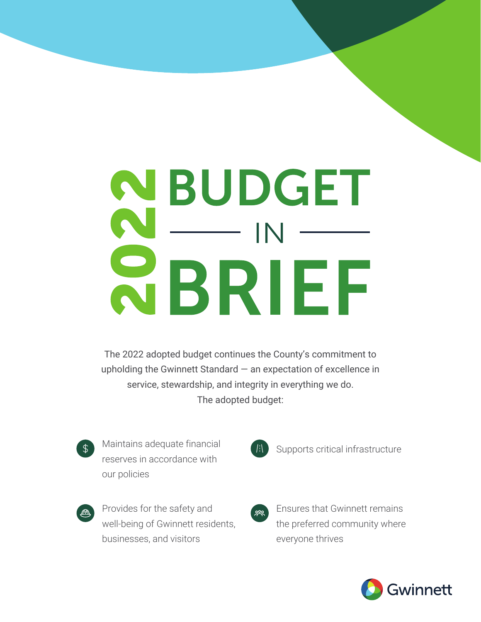# NBUDGET IN SBRIEF

The 2022 adopted budget continues the County's commitment to upholding the Gwinnett Standard — an expectation of excellence in service, stewardship, and integrity in everything we do. The adopted budget:



Maintains adequate financial reserves in accordance with our policies



Provides for the safety and well-being of Gwinnett residents, businesses, and visitors



Supports critical infrastructure



Ensures that Gwinnett remains the preferred community where everyone thrives

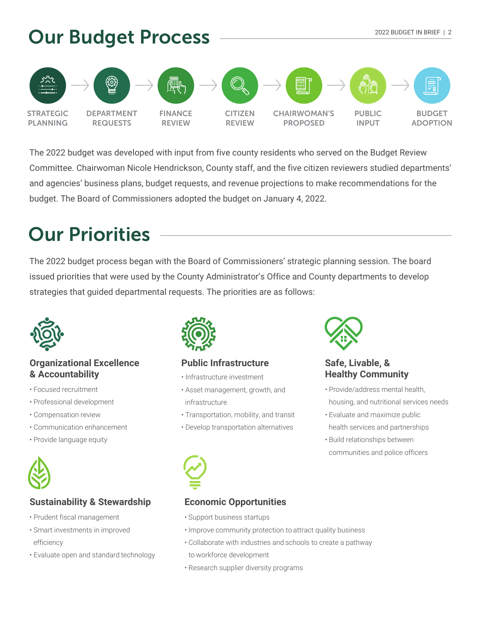

The 2022 budget was developed with input from five county residents who served on the Budget Review Committee. Chairwoman Nicole Hendrickson, County staff, and the five citizen reviewers studied departments' and agencies' business plans, budget requests, and revenue projections to make recommendations for the budget. The Board of Commissioners adopted the budget on January 4, 2022.

# **Our Priorities**

The 2022 budget process began with the Board of Commissioners' strategic planning session. The board issued priorities that were used by the County Administrator's Office and County departments to develop strategies that guided departmental requests. The priorities are as follows:



#### **& Accountability Organizational Excellence**

- Focused recruitment
- Professional development
- Compensation review
- Communication enhancement
- Provide language equity



#### **Sustainability & Stewardship**

- Prudent fiscal management
- Smart investments in improved efficiency
- Evaluate open and standard technology



#### Ĭ **Public Infrastructure**

- Infrastructure investment
- Asset management, growth, and infrastructure
- Transportation, mobility, and transit
- Develop transportation alternatives



#### **Safe, Livable, & Healthy Community**

- Provide/address mental health, housing, and nutritional services needs
- Evaluate and maximize public health services and partnerships
- Build relationships between communities and police officers



#### **Economic Opportunities**

- Support business startups
- Improve community protection to attract quality business
- Collaborate with industries and schools to create a pathway to workforce development
- Research supplier diversity programs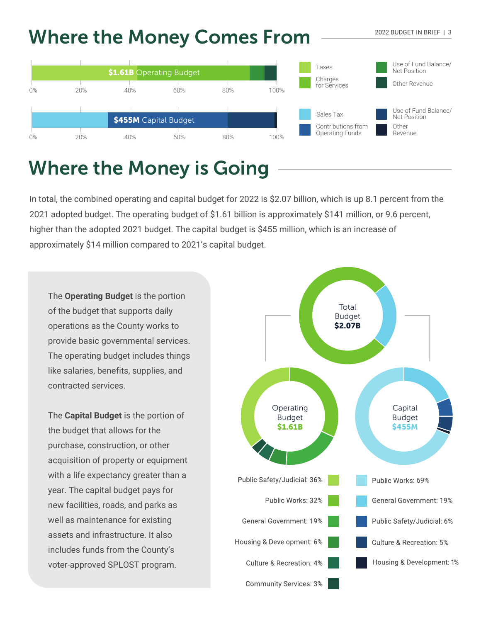## **Where the Money Comes From**



# **Where the Money is Going**

In total, the combined operating and capital budget for 2022 is \$2.07 billion, which is up 8.1 percent from the 2021 adopted budget. The operating budget of \$1.61 billion is approximately \$141 million, or 9.6 percent, higher than the adopted 2021 budget. The capital budget is \$455 million, which is an increase of approximately \$14 million compared to 2021's capital budget.

The **Operating Budget** is the portion of the budget that supports daily operations as the County works to provide basic governmental services. The operating budget includes things like salaries, benefits, supplies, and contracted services.

The **Capital Budget** is the portion of the budget that allows for the purchase, construction, or other acquisition of property or equipment with a life expectancy greater than a year. The capital budget pays for new facilities, roads, and parks as well as maintenance for existing assets and infrastructure. It also includes funds from the County's voter-approved SPLOST program.



2022 BUDGET IN BRIEF | 3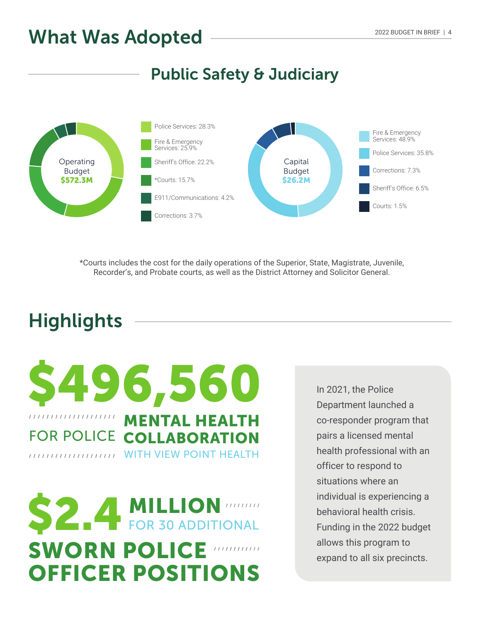#### **Public Safety & Judiciary**



\*Courts includes the cost for the daily operations of the Superior, State, Magistrate, Juvenile, Recorder's, and Probate courts, as well as the District Attorney and Solicitor General.

# **Highlights**



**\$2.4 MILLION MILLION SWORN POLICE OFFICER POSITIONS**

In 2021, the Police Department launched a co-responder program that pairs a licensed mental health professional with an officer to respond to situations where an individual is experiencing a behavioral health crisis. Funding in the 2022 budget allows this program to expand to all six precincts.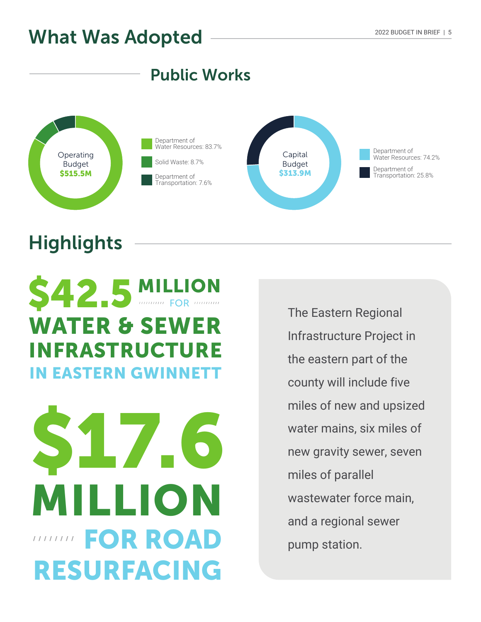### **Public Works**



# **Highlights**



# **\$17.6 FOR ROAD RESURFACING MILLION**

The Eastern Regional Infrastructure Project in the eastern part of the county will include five miles of new and upsized water mains, six miles of new gravity sewer, seven miles of parallel wastewater force main, and a regional sewer pump station.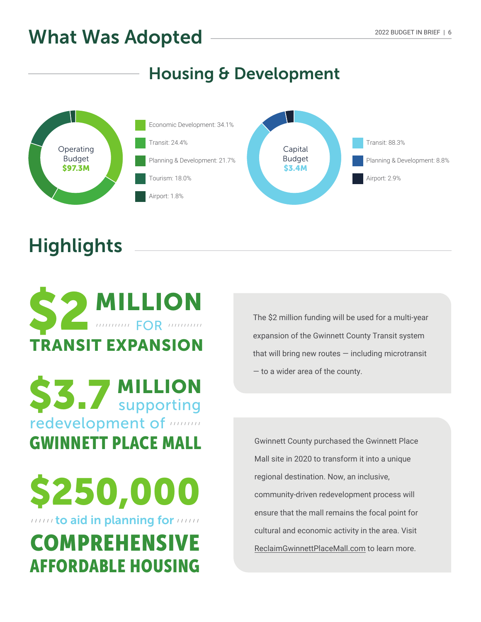### **Housing & Development**





# **Highlights**



**\$3.7 MILLION** redevelopment of **many** supporting GWINNETT PLACE MALL

**\$250,000 COMPREHENSIVE** AFFORDABLE HOUSING **to aid in planning for** their The \$2 million funding will be used for a multi-year expansion of the Gwinnett County Transit system that will bring new routes  $-$  including microtransit — to a wider area of the county.

Gwinnett County purchased the Gwinnett Place Mall site in 2020 to transform it into a unique regional destination. Now, an inclusive, community-driven redevelopment process will ensure that the mall remains the focal point for cultural and economic activity in the area. Visit [ReclaimGwinnettPlaceMall.com](https://www.reclaimgwinnettplacemall.com/) to learn more.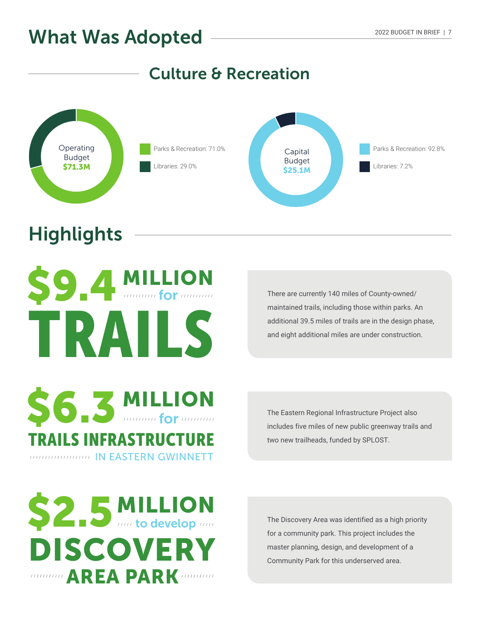#### **Culture & Recreation**



# **Highlights**



There are currently 140 miles of County-owned/ maintained trails, including those within parks. An additional 39.5 miles of trails are in the design phase, and eight additional miles are under construction.

The Eastern Regional Infrastructure Project also includes five miles of new public greenway trails and two new trailheads, funded by SPLOST.



TRAILS INFRASTRUCTURE

IN EASTERN GWINNETT

**MILLION**

**for**

The Discovery Area was identified as a high priority for a community park. This project includes the master planning, design, and development of a Community Park for this underserved area.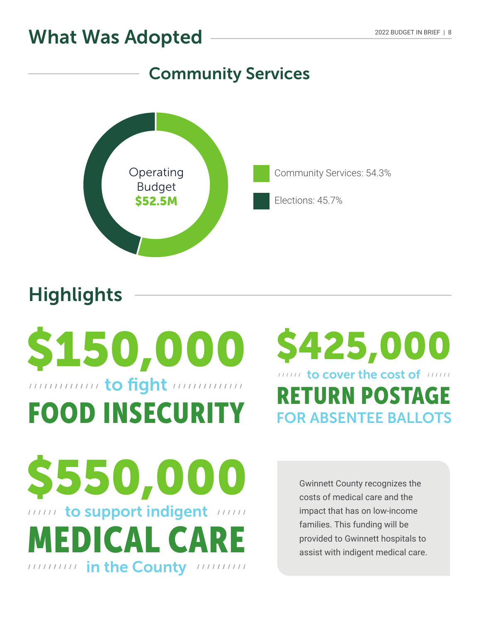### **Community Services**



# **Highlights**

# **\$150,000** FOOD INSECURITY mummit to fight mummu

# **\$425,000** RETURN POSTAGE **to cover the cost of** *there* **FOR ABSENTEE BALLOTS**

**\$550,000** MEDICAL CARE **to support indigent** In the County Intimer

Gwinnett County recognizes the costs of medical care and the impact that has on low-income families. This funding will be provided to Gwinnett hospitals to assist with indigent medical care.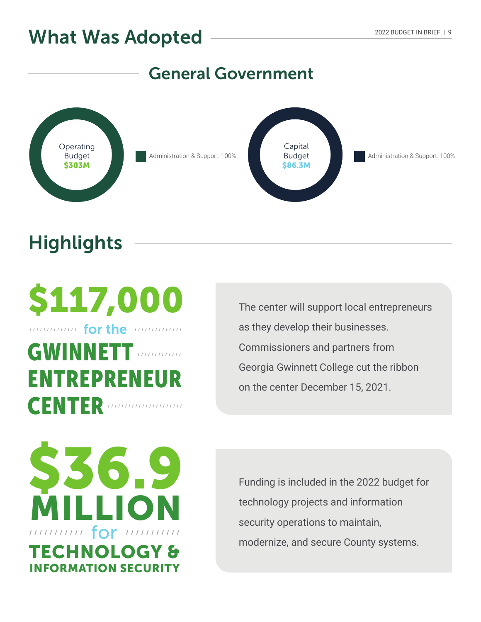### **General Government**



# **Highlights**

**\$117,000** GWINNETT ENTREPRENEUR CENTER *Municipality for the minimum* 

The center will support local entrepreneurs as they develop their businesses. Commissioners and partners from Georgia Gwinnett College cut the ribbon on the center December 15, 2021.

**\$36.9 TECHNOLOGY & INFORMATION SECURITY MILLION** munun for munun

Funding is included in the 2022 budget for technology projects and information security operations to maintain, modernize, and secure County systems.